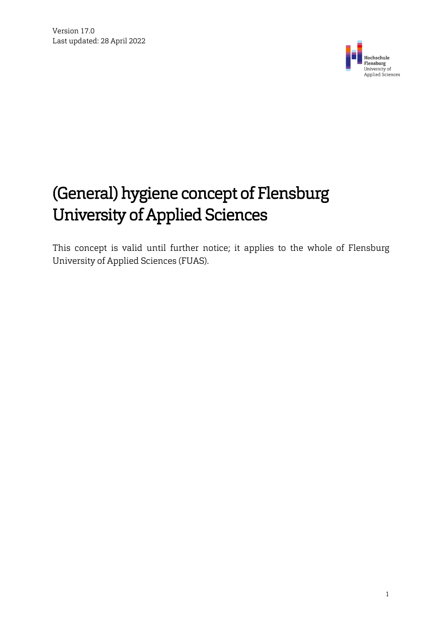

# (General) hygiene concept of Flensburg University of Applied Sciences

This concept is valid until further notice; it applies to the whole of Flensburg University of Applied Sciences (FUAS).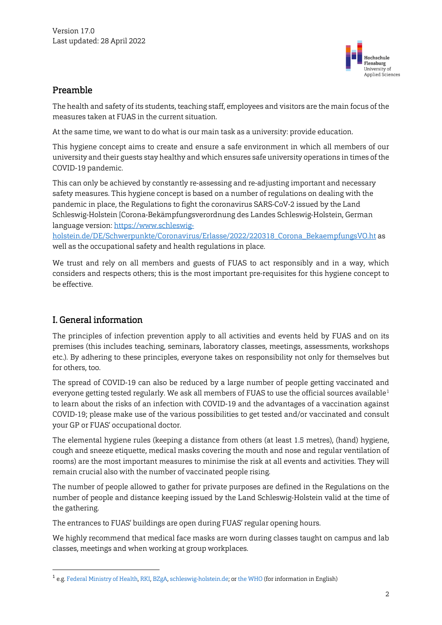

### Preamble

The health and safety of its students, teaching staff, employees and visitors are the main focus of the measures taken at FUAS in the current situation.

At the same time, we want to do what is our main task as a university: provide education.

This hygiene concept aims to create and ensure a safe environment in which all members of our university and their guests stay healthy and which ensures safe university operations in times of the COVID-19 pandemic.

This can only be achieved by constantly re-assessing and re-adjusting important and necessary safety measures. This hygiene concept is based on a number of regulations on dealing with the pandemic in place, the Regulations to fight the coronavirus SARS-CoV-2 issued by the Land Schleswig-Holstein [Corona-Bekämpfungsverordnung des Landes Schleswig-Holstein, German language version: [https://www.schleswig-](https://www.schleswig-holstein.de/DE/Schwerpunkte/Coronavirus/Erlasse/2022/220318_Corona_BekaempfungsVO.ht)

[holstein.de/DE/Schwerpunkte/Coronavirus/Erlasse/2022/220318\\_Corona\\_BekaempfungsVO.ht](https://www.schleswig-holstein.de/DE/Schwerpunkte/Coronavirus/Erlasse/2022/220318_Corona_BekaempfungsVO.ht) as well as the occupational safety and health regulations in place.

We trust and rely on all members and guests of FUAS to act responsibly and in a way, which considers and respects others; this is the most important pre-requisites for this hygiene concept to be effective.

# I. General information

 $\overline{a}$ 

The principles of infection prevention apply to all activities and events held by FUAS and on its premises (this includes teaching, seminars, laboratory classes, meetings, assessments, workshops etc.). By adhering to these principles, everyone takes on responsibility not only for themselves but for others, too.

The spread of COVID-19 can also be reduced by a large number of people getting vaccinated and everyone getting tested regularly. We ask all members of FUAS to use the official sources available<sup>[1](#page-1-0)</sup> to learn about the risks of an infection with COVID-19 and the advantages of a vaccination against COVID-19; please make use of the various possibilities to get tested and/or vaccinated and consult your GP or FUAS' occupational doctor.

The elemental hygiene rules (keeping a distance from others (at least 1.5 metres), (hand) hygiene, cough and sneeze etiquette, medical masks covering the mouth and nose and regular ventilation of rooms) are the most important measures to minimise the risk at all events and activities. They will remain crucial also with the number of vaccinated people rising.

The number of people allowed to gather for private purposes are defined in the Regulations on the number of people and distance keeping issued by the Land Schleswig-Holstein valid at the time of the gathering.

The entrances to FUAS' buildings are open during FUAS' regular opening hours.

We highly recommend that medical face masks are worn during classes taught on campus and lab classes, meetings and when working at group workplaces.

<span id="page-1-0"></span><sup>1</sup> e.g. Federal Ministry of Health, RKI, BZgA, schleswig-holstein.de; or the WHO (for information in English)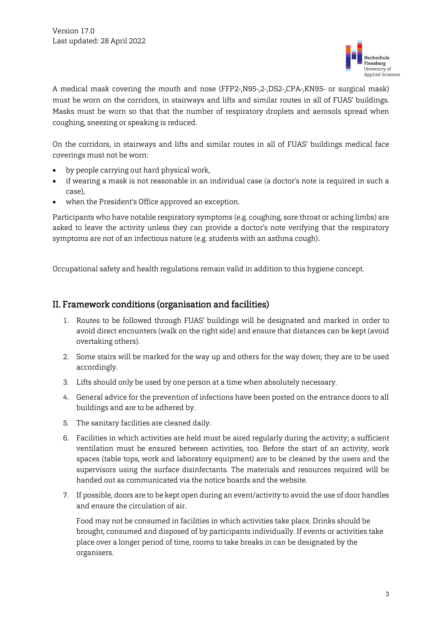

A medical mask covering the mouth and nose (FFP2-,N95-,2-,DS2-,CPA-,KN95- or surgical mask) must be worn on the corridors, in stairways and lifts and similar routes in all of FUAS' buildings. Masks must be worn so that that the number of respiratory droplets and aerosols spread when coughing, sneezing or speaking is reduced.

On the corridors, in stairways and lifts and similar routes in all of FUAS' buildings medical face coverings must not be worn:

- by people carrying out hard physical work,
- if wearing a mask is not reasonable in an individual case (a doctor's note is required in such a case),
- when the President's Office approved an exception.

Participants who have notable respiratory symptoms (e.g. coughing, sore throat or aching limbs) are asked to leave the activity unless they can provide a doctor's note verifying that the respiratory symptoms are not of an infectious nature (e.g. students with an asthma cough).

Occupational safety and health regulations remain valid in addition to this hygiene concept.

#### II. Framework conditions (organisation and facilities)

- 1. Routes to be followed through FUAS' buildings will be designated and marked in order to avoid direct encounters (walk on the right side) and ensure that distances can be kept (avoid overtaking others).
- 2. Some stairs will be marked for the way up and others for the way down; they are to be used accordingly.
- 3. Lifts should only be used by one person at a time when absolutely necessary.
- 4. General advice for the prevention of infections have been posted on the entrance doors to all buildings and are to be adhered by.
- 5. The sanitary facilities are cleaned daily.
- 6. Facilities in which activities are held must be aired regularly during the activity; a sufficient ventilation must be ensured between activities, too. Before the start of an activity, work spaces (table tops, work and laboratory equipment) are to be cleaned by the users and the supervisors using the surface disinfectants. The materials and resources required will be handed out as communicated via the notice boards and the website.
- 7. If possible, doors are to be kept open during an event/activity to avoid the use of door handles and ensure the circulation of air.

Food may not be consumed in facilities in which activities take place. Drinks should be brought, consumed and disposed of by participants individually. If events or activities take place over a longer period of time, rooms to take breaks in can be designated by the organisers.